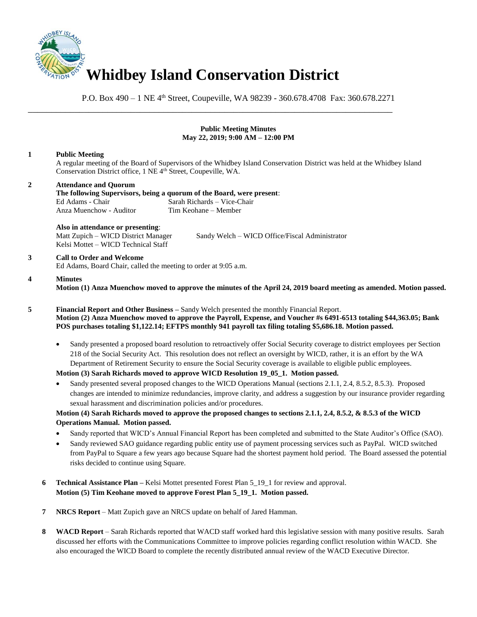

P.O. Box 490 – 1 NE 4<sup>th</sup> Street, Coupeville, WA 98239 - 360.678.4708 Fax: 360.678.2271

\_\_\_\_\_\_\_\_\_\_\_\_\_\_\_\_\_\_\_\_\_\_\_\_\_\_\_\_\_\_\_\_\_\_\_\_\_\_\_\_\_\_\_\_\_\_\_\_\_\_\_\_\_\_\_\_\_\_\_\_\_\_\_\_\_\_\_\_\_\_\_\_\_\_\_\_\_\_

### **Public Meeting Minutes May 22, 2019; 9:00 AM – 12:00 PM**

### **1 Public Meeting**

A regular meeting of the Board of Supervisors of the Whidbey Island Conservation District was held at the Whidbey Island Conservation District office, 1 NE 4<sup>th</sup> Street, Coupeville, WA.

# **2 Attendance and Quorum**

**The following Supervisors, being a quorum of the Board, were present**: Ed Adams - Chair Sarah Richards – Vice-Chair<br>Anza Muenchow - Auditor Tim Keohane – Member Anza Muenchow - Auditor

# **Also in attendance or presenting**:

Kelsi Mottet – WICD Technical Staff

Matt Zupich – WICD District Manager Sandy Welch – WICD Office/Fiscal Administrator

# **3 Call to Order and Welcome**

Ed Adams, Board Chair, called the meeting to order at 9:05 a.m.

#### **4 Minutes**

**Motion (1) Anza Muenchow moved to approve the minutes of the April 24, 2019 board meeting as amended. Motion passed.** 

**5 Financial Report and Other Business –** Sandy Welch presented the monthly Financial Report. **Motion (2) Anza Muenchow moved to approve the Payroll, Expense, and Voucher #s 6491-6513 totaling \$44,363.05; Bank POS purchases totaling \$1,122.14; EFTPS monthly 941 payroll tax filing totaling \$5,686.18. Motion passed.** 

• Sandy presented a proposed board resolution to retroactively offer Social Security coverage to district employees per Section 218 of the Social Security Act. This resolution does not reflect an oversight by WICD, rather, it is an effort by the WA Department of Retirement Security to ensure the Social Security coverage is available to eligible public employees.

## **Motion (3) Sarah Richards moved to approve WICD Resolution 19\_05\_1. Motion passed.**

• Sandy presented several proposed changes to the WICD Operations Manual (sections 2.1.1, 2.4, 8.5.2, 8.5.3). Proposed changes are intended to minimize redundancies, improve clarity, and address a suggestion by our insurance provider regarding sexual harassment and discrimination policies and/or procedures.

# **Motion (4) Sarah Richards moved to approve the proposed changes to sections 2.1.1, 2.4, 8.5.2, & 8.5.3 of the WICD Operations Manual. Motion passed.**

- Sandy reported that WICD's Annual Financial Report has been completed and submitted to the State Auditor's Office (SAO).
- Sandy reviewed SAO guidance regarding public entity use of payment processing services such as PayPal. WICD switched from PayPal to Square a few years ago because Square had the shortest payment hold period. The Board assessed the potential risks decided to continue using Square.
- **6 Technical Assistance Plan –** Kelsi Mottet presented Forest Plan 5\_19\_1 for review and approval. **Motion (5) Tim Keohane moved to approve Forest Plan 5\_19\_1. Motion passed.**
- **7 NRCS Report** Matt Zupich gave an NRCS update on behalf of Jared Hamman.
- **8 WACD Report** Sarah Richards reported that WACD staff worked hard this legislative session with many positive results. Sarah discussed her efforts with the Communications Committee to improve policies regarding conflict resolution within WACD. She also encouraged the WICD Board to complete the recently distributed annual review of the WACD Executive Director.